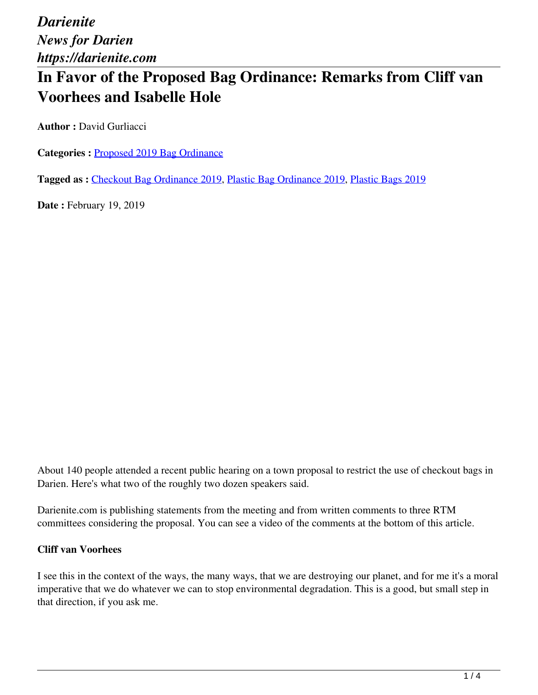*Darienite News for Darien https://darienite.com*

# **In Favor of the Proposed Bag Ordinance: Remarks from Cliff van Voorhees and Isabelle Hole**

**Author :** David Gurliacci

**Categories :** [Proposed 2019 Bag Ordinance](https://darienite.com/category/news/government-politics/proposed-2019-bag-ordinance)

**Tagged as :** Checkout Bag Ordinance 2019, Plastic Bag Ordinance 2019, Plastic Bags 2019

**Date : February 19, 2019** 

About 140 people attended a recent public hearing on a town proposal to restrict the use of checkout bags in Darien. Here's what two of the roughly two dozen speakers said.

Darienite.com is publishing statements from the meeting and from written comments to three RTM committees considering the proposal. You can see a video of the comments at the bottom of this article.

### **Cliff van Voorhees**

I see this in the context of the ways, the many ways, that we are destroying our planet, and for me it's a moral imperative that we do whatever we can to stop environmental degradation. This is a good, but small step in that direction, if you ask me.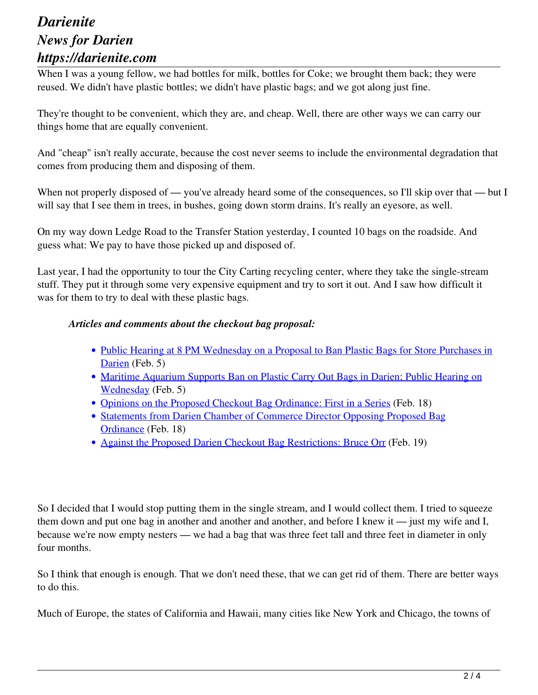### *Darienite News for Darien https://darienite.com*

When I was a young fellow, we had bottles for milk, bottles for Coke; we brought them back; they were reused. We didn't have plastic bottles; we didn't have plastic bags; and we got along just fine.

They're thought to be convenient, which they are, and cheap. Well, there are other ways we can carry our things home that are equally convenient.

And "cheap" isn't really accurate, because the cost never seems to include the environmental degradation that comes from producing them and disposing of them.

When not properly disposed of — you've already heard some of the consequences, so I'll skip over that — but I will say that I see them in trees, in bushes, going down storm drains. It's really an eyesore, as well.

On my way down Ledge Road to the Transfer Station yesterday, I counted 10 bags on the roadside. And guess what: We pay to have those picked up and disposed of.

Last year, I had the opportunity to tour the City Carting recycling center, where they take the single-stream stuff. They put it through some very expensive equipment and try to sort it out. And I saw how difficult it was for them to try to deal with these plastic bags.

#### *Articles and comments about the checkout bag proposal:*

- Public Hearing at 8 PM Wednesday on a Proposal to Ban Plastic Bags for Store Purchases in Darien (Feb. 5)
- Maritime Aquarium Supports Ban on Plastic Carry Out Bags in Darien; Public Hearing on Wednesday (Feb. 5)
- Opinions on the Proposed Checkout Bag Ordinance: First in a Series (Feb. 18)
- Statements from Darien Chamber of Commerce Director Opposing Proposed Bag Ordinance (Feb. 18)
- Against the Proposed Darien Checkout Bag Restrictions: Bruce Orr (Feb. 19)

So I decided that I would stop putting them in the single stream, and I would collect them. I tried to squeeze them down and put one bag in another and another and another, and before I knew it — just my wife and I, because we're now empty nesters — we had a bag that was three feet tall and three feet in diameter in only four months.

So I think that enough is enough. That we don't need these, that we can get rid of them. There are better ways to do this.

Much of Europe, the states of California and Hawaii, many cities like New York and Chicago, the towns of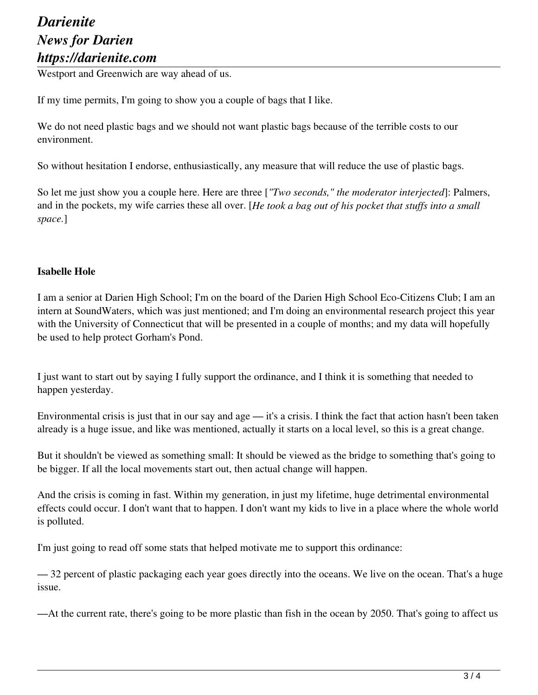## *Darienite News for Darien https://darienite.com*

Westport and Greenwich are way ahead of us.

If my time permits, I'm going to show you a couple of bags that I like.

We do not need plastic bags and we should not want plastic bags because of the terrible costs to our environment.

So without hesitation I endorse, enthusiastically, any measure that will reduce the use of plastic bags.

So let me just show you a couple here. Here are three [*"Two seconds," the moderator interjected*]: Palmers, and in the pockets, my wife carries these all over. [*He took a bag out of his pocket that stuffs into a small space.*]

#### **Isabelle Hole**

I am a senior at Darien High School; I'm on the board of the Darien High School Eco-Citizens Club; I am an intern at SoundWaters, which was just mentioned; and I'm doing an environmental research project this year with the University of Connecticut that will be presented in a couple of months; and my data will hopefully be used to help protect Gorham's Pond.

I just want to start out by saying I fully support the ordinance, and I think it is something that needed to happen yesterday.

Environmental crisis is just that in our say and age — it's a crisis. I think the fact that action hasn't been taken already is a huge issue, and like was mentioned, actually it starts on a local level, so this is a great change.

But it shouldn't be viewed as something small: It should be viewed as the bridge to something that's going to be bigger. If all the local movements start out, then actual change will happen.

And the crisis is coming in fast. Within my generation, in just my lifetime, huge detrimental environmental effects could occur. I don't want that to happen. I don't want my kids to live in a place where the whole world is polluted.

I'm just going to read off some stats that helped motivate me to support this ordinance:

— 32 percent of plastic packaging each year goes directly into the oceans. We live on the ocean. That's a huge issue.

—At the current rate, there's going to be more plastic than fish in the ocean by 2050. That's going to affect us